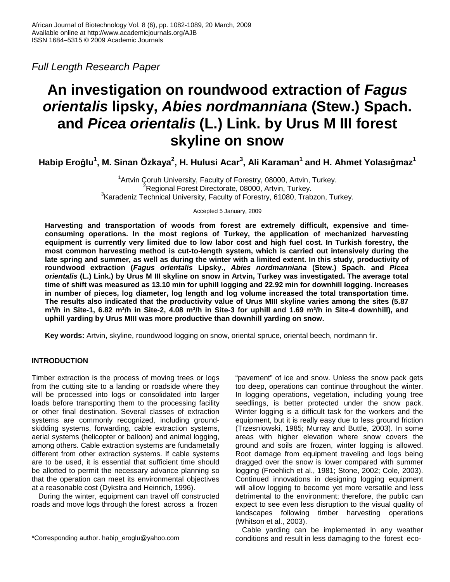*Full Length Research Paper* 

# **An investigation on roundwood extraction of** *Fagus orientalis* **lipsky,** *Abies nordmanniana* **(Stew.) Spach. and** *Picea orientalis* **(L.) Link. by Urus M III forest skyline on snow**

**Habip Erolu<sup>1</sup> , M. Sinan Özkaya<sup>2</sup> , H. Hulusi Acar<sup>3</sup> , Ali Karaman<sup>1</sup> and H. Ahmet Yolasımaz<sup>1</sup>**

<sup>1</sup> Artvin Çoruh University, Faculty of Forestry, 08000, Artvin, Turkey. <sup>2</sup>Regional Forest Directorate, 08000, Artvin, Turkey. <sup>3</sup> Karadeniz Technical University, Faculty of Forestry, 61080, Trabzon, Turkey.

Accepted 5 January, 2009

**Harvesting and transportation of woods from forest are extremely difficult, expensive and timeconsuming operations. In the most regions of Turkey, the application of mechanized harvesting equipment is currently very limited due to low labor cost and high fuel cost. In Turkish forestry, the most common harvesting method is cut-to-length system, which is carried out intensively during the late spring and summer, as well as during the winter with a limited extent. In this study, productivity of roundwood extraction (***Fagus orientalis* **Lipsky.,** *Abies nordmanniana* **(Stew.) Spach. and** *Picea orientalis* **(L.) Link.) by Urus M III skyline on snow in Artvin, Turkey was investigated. The average total time of shift was measured as 13.10 min for uphill logging and 22.92 min for downhill logging. Increases in number of pieces, log diameter, log length and log volume increased the total transportation time. The results also indicated that the productivity value of Urus MIII skyline varies among the sites (5.87 m³/h in Site-1, 6.82 m³/h in Site-2, 4.08 m³/h in Site-3 for uphill and 1.69 m³/h in Site-4 downhill), and uphill yarding by Urus MIII was more productive than downhill yarding on snow.** 

**Key words:** Artvin, skyline, roundwood logging on snow, oriental spruce, oriental beech, nordmann fir.

# **INTRODUCTION**

Timber extraction is the process of moving trees or logs from the cutting site to a landing or roadside where they will be processed into logs or consolidated into larger loads before transporting them to the processing facility or other final destination. Several classes of extraction systems are commonly recognized, including groundskidding systems, forwarding, cable extraction systems, aerial systems (helicopter or balloon) and animal logging, among others. Cable extraction systems are fundametally different from other extraction systems. If cable systems are to be used, it is essential that sufficient time should be allotted to permit the necessary advance planning so that the operation can meet its environmental objectives at a reasonable cost (Dykstra and Heinrich, 1996).

During the winter, equipment can travel off constructed roads and move logs through the forest across a frozen

"pavement" of ice and snow. Unless the snow pack gets too deep, operations can continue throughout the winter. In logging operations, vegetation, including young tree seedlings, is better protected under the snow pack. Winter logging is a difficult task for the workers and the equipment, but it is really easy due to less ground friction (Trzesniowski, 1985; Murray and Buttle, 2003). In some areas with higher elevation where snow covers the ground and soils are frozen, winter logging is allowed. Root damage from equipment traveling and logs being dragged over the snow is lower compared with summer logging (Froehlich et al., 1981; Stone, 2002; Cole, 2003). Continued innovations in designing logging equipment will allow logging to become yet more versatile and less detrimental to the environment; therefore, the public can expect to see even less disruption to the visual quality of landscapes following timber harvesting operations (Whitson et al., 2003).

Cable yarding can be implemented in any weather conditions and result in less damaging to the forest eco-

<sup>\*</sup>Corresponding author. habip\_eroglu@yahoo.com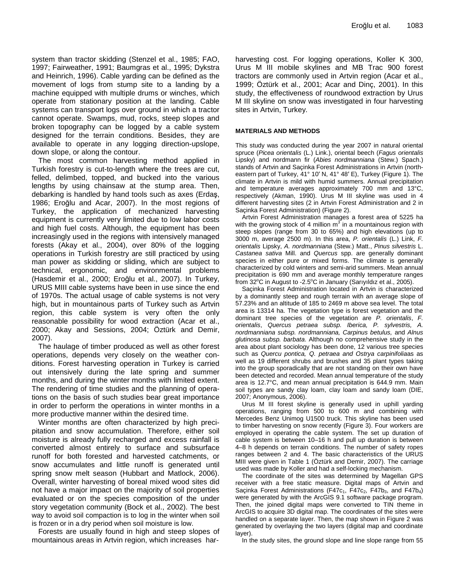system than tractor skidding (Stenzel et al., 1985; FAO, 1997; Fairweather, 1991; Baumgras et al., 1995; Dykstra and Heinrich, 1996). Cable yarding can be defined as the movement of logs from stump site to a landing by a machine equipped with multiple drums or winches, which operate from stationary position at the landing. Cable systems can transport logs over ground in which a tractor cannot operate. Swamps, mud, rocks, steep slopes and broken topography can be logged by a cable system designed for the terrain conditions. Besides, they are available to operate in any logging direction-upslope, down slope, or along the contour.

The most common harvesting method applied in Turkish forestry is cut-to-length where the trees are cut, felled, delimbed, topped, and bucked into the various lengths by using chainsaw at the stump area. Then, debarking is handled by hand tools such as axes (Erdaş, 1986; Eroğlu and Acar, 2007). In the most regions of Turkey, the application of mechanized harvesting equipment is currently very limited due to low labor costs and high fuel costs. Although, the equipment has been increasingly used in the regions with intensively managed forests (Akay et al., 2004), over 80% of the logging operations in Turkish forestry are still practiced by using man power as skidding or sliding, which are subject to technical, ergonomic, and environmental problems (Hasdemir et al., 2000; Eroğlu et al., 2007). In Turkey, URUS MIII cable systems have been in use since the end of 1970s. The actual usage of cable systems is not very high, but in mountainous parts of Turkey such as Artvin region, this cable system is very often the only reasonable possibility for wood extraction (Acar et al., 2000; Akay and Sessions, 2004; Öztürk and Demir, 2007).

The haulage of timber produced as well as other forest operations, depends very closely on the weather conditions. Forest harvesting operation in Turkey is carried out intensively during the late spring and summer months, and during the winter months with limited extent. The rendering of time studies and the planning of operations on the basis of such studies bear great importance in order to perform the operations in winter months in a more productive manner within the desired time.

Winter months are often characterized by high precipitation and snow accumulation. Therefore, either soil moisture is already fully recharged and excess rainfall is converted almost entirely to surface and subsurface runoff for both forested and harvested catchments, or snow accumulates and little runoff is generated until spring snow melt season (Hubbart and Matlock, 2006). Overall, winter harvesting of boreal mixed wood sites did not have a major impact on the majority of soil properties evaluated or on the species composition of the under story vegetation community (Bock et al., 2002). The best way to avoid soil compaction is to log in the winter when soil is frozen or in a dry period when soil moisture is low.

Forests are usually found in high and steep slopes of mountainous areas in Artvin region, which increases harharvesting cost. For logging operations, Koller K 300, Urus M III mobile skylines and MB Trac 900 forest tractors are commonly used in Artvin region (Acar et al., 1999; Öztürk et al., 2001; Acar and Dinç, 2001). In this study, the effectiveness of roundwood extraction by Urus M III skyline on snow was investigated in four harvesting sites in Artvin, Turkey.

#### **MATERIALS AND METHODS**

This study was conducted during the year 2007 in natural oriental spruce (*Picea orientalis* (L.) Link.), oriental beech (*Fagus orientalis*  Lipsky) and nordmann fir (*Abies nordmanniana* (Stew.) Spach.) stands of Artvin and Saçinka Forest Administrations in Artvin (northeastern part of Turkey, 41° 10' N, 41° 48' E), Turkey (Figure 1). The climate in Artvin is mild with humid summers. Annual precipitation and temperature averages approximately 700 mm and 13°C, respectively (Akman, 1990). Urus M III skyline was used in 4 different harvesting sites (2 in Artvin Forest Administration and 2 in Saçinka Forest Administration) (Figure 2).

Artvin Forest Administration manages a forest area of 5225 ha with the growing stock of 4 million  $m^3$  in a mountainous region with steep slopes (range from 30 to 65%) and high elevations (up to 3000 m, average 2500 m). In this area, *P. orientalis* (L.) Link, *F. orientalis* Lipsky, *A. nordmanniana* (Stew.) Matt., *Pinus silvestris* L. *Castanea sativa* Mill. and *Quercus* spp. are generally dominant species in either pure or mixed forms. The climate is generally characterized by cold winters and semi-arid summers. Mean annual precipitation is 690 mm and average monthly temperature ranges from 32 $\degree$ C in August to -2.5 $\degree$ C in January (Sarıyıldız et al., 2005).

Saçinka Forest Administration located in Artvin is characterized by a dominantly steep and rough terrain with an average slope of 57.23% and an altitude of 185 to 2469 m above sea level. The total area is 13314 ha. The vegetation type is forest vegetation and the dominant tree species of the vegetation are *P. orientalis*, *F. orientalis*, *Quercus petraea subsp. Iberica, P. sylvestris, A. nordmanniana subsp. nordmanniana, Carpinus betulus,* and *Alnus glutinosa subsp. barbata*. Although no comprehensive study in the area about plant sociology has been done, 12 various tree species such as *Quercu pontica, Q. petraea and Ostrya carpinifolia*as as well as 19 different shrubs and brushes and 35 plant types taking into the group sporadically that are not standing on their own have been detected and recorded. Mean annual temperature of the study area is 12.7°C, and mean annual precipitation is 644.9 mm. Main soil types are sandy clay loam, clay loam and sandy loam (DIE, 2007; Anonymous, 2006).

Urus M III forest skyline is generally used in uphill yarding operations, ranging from 500 to 600 m and combining with Mercedes Benz Unimog U1500 truck. This skyline has been used to timber harvesting on snow recently (Figure 3). Four workers are employed in operating the cable system. The set up duration of cable system is between 10–16 h and pull up duration is between 4–8 h depends on terrain conditions. The number of safety ropes ranges between 2 and 4. The basic characteristics of the URUS MIII were given in Table 1 (Öztürk and Demir, 2007). The carriage used was made by Koller and had a self-locking mechanism.

The coordinate of the sites was determined by Magellan GPS receiver with a free static measure. Digital maps of Artvin and Saçinka Forest Administrations (F47 $c_1$ , F47 $c_2$ , F47 $b_3$ , and F47 $b_4$ ) were generated by with the ArcGIS 9.1 software package program. Then, the joined digital maps were converted to TIN theme in ArcGIS to acquire 3D digital map. The coordinates of the sites were handled on a separate layer. Then, the map shown in Figure 2 was generated by overlaying the two layers (digital map and coordinate layer).

In the study sites, the ground slope and line slope range from 55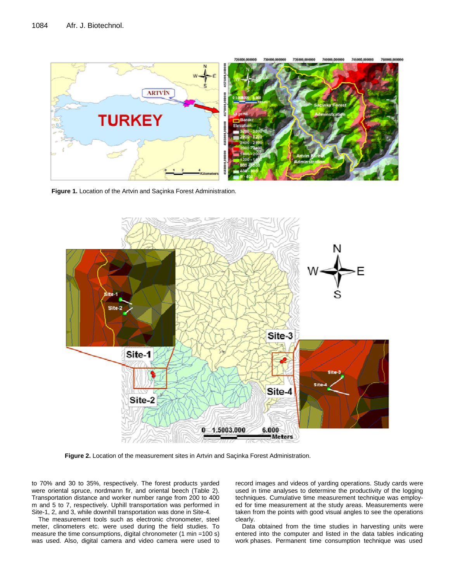

**Figure 1.** Location of the Artvin and Saçinka Forest Administration.



**Figure 2.** Location of the measurement sites in Artvin and Saçinka Forest Administration.

to 70% and 30 to 35%, respectively. The forest products yarded were oriental spruce, nordmann fir, and oriental beech (Table 2). Transportation distance and worker number range from 200 to 400 m and 5 to 7, respectively. Uphill transportation was performed in Site-1, 2, and 3, while downhill transportation was done in Site-4.

The measurement tools such as electronic chronometer, steel meter, clinometers etc. were used during the field studies. To measure the time consumptions, digital chronometer (1 min =100 s) was used. Also, digital camera and video camera were used to record images and videos of yarding operations. Study cards were used in time analyses to determine the productivity of the logging techniques. Cumulative time measurement technique was employed for time measurement at the study areas. Measurements were taken from the points with good visual angles to see the operations clearly.

Data obtained from the time studies in harvesting units were entered into the computer and listed in the data tables indicating work phases. Permanent time consumption technique was used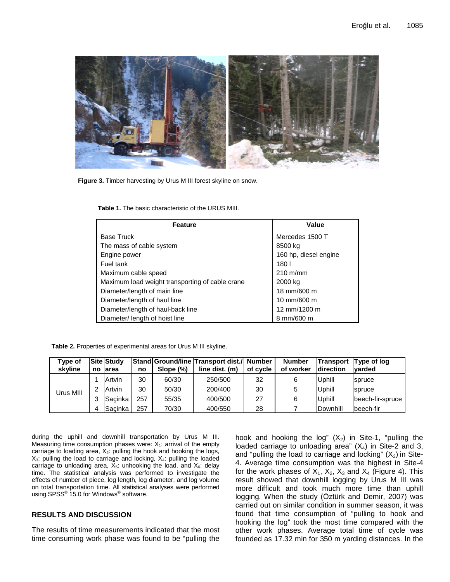

**Figure 3.** Timber harvesting by Urus M III forest skyline on snow.

|  |  | <b>Table 1.</b> The basic characteristic of the URUS MIII. |  |  |
|--|--|------------------------------------------------------------|--|--|
|--|--|------------------------------------------------------------|--|--|

| <b>Feature</b>                                  | <b>Value</b>          |
|-------------------------------------------------|-----------------------|
| <b>Base Truck</b>                               | Mercedes 1500 T       |
| The mass of cable system                        | 8500 kg               |
| Engine power                                    | 160 hp, diesel engine |
| Fuel tank                                       | 1801                  |
| Maximum cable speed                             | $210 \text{ m/mm}$    |
| Maximum load weight transporting of cable crane | 2000 kg               |
| Diameter/length of main line                    | 18 mm/600 m           |
| Diameter/length of haul line                    | 10 mm/600 m           |
| Diameter/length of haul-back line               | 12 mm/1200 m          |
| Diameter/ length of hoist line                  | 8 mm/600 m            |

|  | Table 2. Properties of experimental areas for Urus M III skyline. |  |
|--|-------------------------------------------------------------------|--|
|--|-------------------------------------------------------------------|--|

| Type of<br>skyline | no | <b>Site Study</b><br>larea | no  | Slope $(\%)$ | Stand Ground/line Transport dist./ Number<br>line dist. (m) | of cycle | <b>Number</b><br>of worker | Transport<br><b>Idirection</b> | Type of log<br>varded |
|--------------------|----|----------------------------|-----|--------------|-------------------------------------------------------------|----------|----------------------------|--------------------------------|-----------------------|
| Urus MIII          |    | Artvin                     | 30  | 60/30        | 250/500                                                     | 32       | 6                          | Uphill                         | <b>Spruce</b>         |
|                    | 2  | Artvin                     | 30  | 50/30        | 200/400                                                     | 30       | 5                          | Uphill                         | spruce                |
|                    | 3  | Sacinka                    | 257 | 55/35        | 400/500                                                     | 27       | 6                          | Uphill                         | beech-fir-spruce      |
|                    | 4  | Sacinka                    | 257 | 70/30        | 400/550                                                     | 28       |                            | Downhill                       | beech-fir             |

during the uphill and downhill transportation by Urus M III. Measuring time consumption phases were:  $X_1$ : arrival of the empty carriage to loading area,  $X_2$ : pulling the hook and hooking the logs, X3: pulling the load to carriage and locking, X4: pulling the loaded carriage to unloading area,  $X_5$ : unhooking the load, and  $X_6$ : delay time. The statistical analysis was performed to investigate the effects of number of piece, log length, log diameter, and log volume on total transportation time. All statistical analyses were performed using SPSS<sup>®</sup> 15.0 for Windows<sup>®</sup> software.

## **RESULTS AND DISCUSSION**

The results of time measurements indicated that the most time consuming work phase was found to be "pulling the hook and hooking the log"  $(X_2)$  in Site-1, "pulling the loaded carriage to unloading area"  $(X_4)$  in Site-2 and 3, and "pulling the load to carriage and locking"  $(X_3)$  in Site-4. Average time consumption was the highest in Site-4 for the work phases of  $X_1$ ,  $X_2$ ,  $X_3$  and  $X_4$  (Figure 4). This result showed that downhill logging by Urus M III was more difficult and took much more time than uphill logging. When the study (Öztürk and Demir, 2007) was carried out on similar condition in summer season, it was found that time consumption of "pulling to hook and hooking the log" took the most time compared with the other work phases. Average total time of cycle was founded as 17.32 min for 350 m yarding distances. In the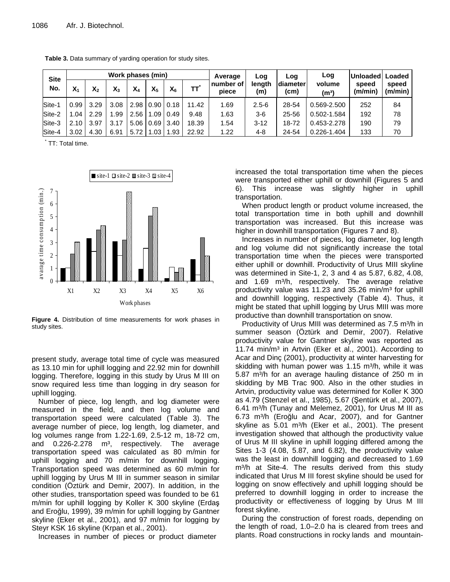| <b>Site</b> |       |      | Work phases (min) |                |                |                |       | Average            | Loa       | Loa                           | Log                         | <b>Unloaded</b>  | Loaded           |
|-------------|-------|------|-------------------|----------------|----------------|----------------|-------|--------------------|-----------|-------------------------------|-----------------------------|------------------|------------------|
| No.         | $X_1$ | χ,   | $X_3$             | X <sub>4</sub> | X <sub>5</sub> | Χ <sub>6</sub> |       | number of<br>piece |           | diameter<br>(c <sub>m</sub> ) | volume<br>(m <sup>3</sup> ) | speed<br>(m/min) | speed<br>(m/min) |
| Site-1      | 0.99  | 3.29 | 3.08              | 2.98           | 0.90           | 0.18           | 11.42 | 1.69               | $2.5 - 6$ | 28-54                         | 0.569-2.500                 | 252              | 84               |
| Site-2      | 1.04  | 2.29 | .99               | 2.56           | 1.09           | 0.49           | 9.48  | 1.63               | $3-6$     | 25-56                         | 0.502-1.584                 | 192              | 78               |
| Site-3      | 2.10  | 3.97 | 3.17              | 5.06           | 0.69           | 3.40           | 18.39 | 1.54               | $3 - 12$  | 18-72                         | 0.453-2.278                 | 190              | 79               |
| Site-4      | 3.02  | 4.30 | 6.91              | 5.72           | 1.03           | . .93          | 22.92 | 1.22               | 4-8       | 24-54                         | 0.226-1.404                 | 133              | 70               |

**Table 3.** Data summary of yarding operation for study sites.

\* TT: Total time.



**Figure 4.** Distribution of time measurements for work phases in study sites.

present study, average total time of cycle was measured as 13.10 min for uphill logging and 22.92 min for downhill logging. Therefore, logging in this study by Urus M III on snow required less time than logging in dry season for uphill logging.

Number of piece, log length, and log diameter were measured in the field, and then log volume and transportation speed were calculated (Table 3). The average number of piece, log length, log diameter, and log volumes range from 1.22-1.69, 2.5-12 m, 18-72 cm, and  $0.226 - 2.278$  m<sup>3</sup>, respectively. The average transportation speed was calculated as 80 m/min for uphill logging and 70 m/min for downhill logging. Transportation speed was determined as 60 m/min for uphill logging by Urus M III in summer season in similar condition (Öztürk and Demir, 2007). In addition, in the other studies, transportation speed was founded to be 61 m/min for uphill logging by Koller K 300 skyline (Erda and Eroğlu, 1999), 39 m/min for uphill logging by Gantner skyline (Eker et al., 2001), and 97 m/min for logging by Steyr KSK 16 skyline (Krpan et al., 2001).

Increases in number of pieces or product diameter

increased the total transportation time when the pieces were transported either uphill or downhill (Figures 5 and 6). This increase was slightly higher in uphill transportation.

When product length or product volume increased, the total transportation time in both uphill and downhill transportation was increased. But this increase was higher in downhill transportation (Figures 7 and 8).

Increases in number of pieces, log diameter, log length and log volume did not significantly increase the total transportation time when the pieces were transported either uphill or downhill. Productivity of Urus MIII skyline was determined in Site-1, 2, 3 and 4 as 5.87, 6.82, 4.08, and 1.69 m<sup>3</sup>/h, respectively. The average relative productivity value was 11.23 and 35.26 min/m<sup>3</sup> for uphill and downhill logging, respectively (Table 4). Thus, it might be stated that uphill logging by Urus MIII was more productive than downhill transportation on snow.

Productivity of Urus MIII was determined as 7.5 m<sup>3</sup>/h in summer season (Öztürk and Demir, 2007). Relative productivity value for Gantner skyline was reported as 11.74 min/ $m<sup>3</sup>$  in Artvin (Eker et al., 2001). According to Acar and Dinç (2001), productivity at winter harvesting for skidding with human power was 1.15 m<sup>3</sup>/h, while it was 5.87 m<sup>3</sup>/h for an average hauling distance of 250 m in skidding by MB Trac 900. Also in the other studies in Artvin, productivity value was determined for Koller K 300 as 4.79 (Stenzel et al., 1985), 5.67 (Şentürk et al., 2007), 6.41 m<sup>3</sup>/h (Tunay and Melemez, 2001), for Urus M III as 6.73 m<sup>3</sup>/h (Eroğlu and Acar, 2007), and for Gantner skyline as  $5.01$  m<sup>3</sup>/h (Eker et al., 2001). The present investigation showed that although the productivity value of Urus M III skyline in uphill logging differed among the Sites 1-3 (4.08, 5.87, and 6.82), the productivity value was the least in downhill logging and decreased to 1.69 m<sup>3</sup>/h at Site-4. The results derived from this study indicated that Urus M III forest skyline should be used for logging on snow effectively and uphill logging should be preferred to downhill logging in order to increase the productivity or effectiveness of logging by Urus M III forest skyline.

During the construction of forest roads, depending on the length of road, 1.0–2.0 ha is cleared from trees and plants. Road constructions in rocky lands and mountain-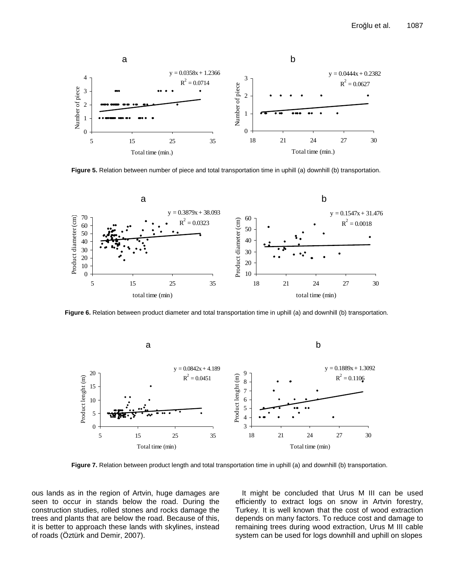

**Figure 5.** Relation between number of piece and total transportation time in uphill (a) downhill (b) transportation.



**Figure 6.** Relation between product diameter and total transportation time in uphill (a) and downhill (b) transportation.



**Figure 7.** Relation between product length and total transportation time in uphill (a) and downhill (b) transportation.

ous lands as in the region of Artvin, huge damages are seen to occur in stands below the road. During the construction studies, rolled stones and rocks damage the trees and plants that are below the road. Because of this, it is better to approach these lands with skylines, instead of roads (Öztürk and Demir, 2007).

It might be concluded that Urus M III can be used efficiently to extract logs on snow in Artvin forestry, Turkey. It is well known that the cost of wood extraction depends on many factors. To reduce cost and damage to remaining trees during wood extraction, Urus M III cable system can be used for logs downhill and uphill on slopes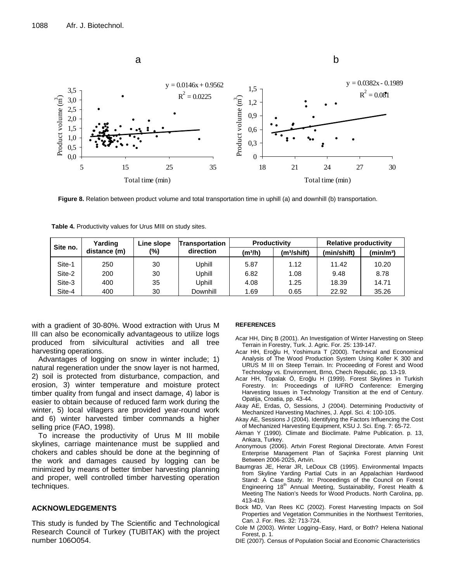

**Figure 8.** Relation between product volume and total transportation time in uphill (a) and downhill (b) transportation.

| Site no. | Yarding      | Line slope | Transportation | <b>Productivity</b> |                         | <b>Relative productivity</b> |                       |  |
|----------|--------------|------------|----------------|---------------------|-------------------------|------------------------------|-----------------------|--|
|          | distance (m) | (%)        | direction      | (m¾h)               | (m <sup>3</sup> /shift) | (min/shift)                  | (min/m <sup>3</sup> ) |  |
| Site-1   | 250          | 30         | Uphill         | 5.87                | 1.12                    | 11.42                        | 10.20                 |  |
| Site-2   | 200          | 30         | Uphill         | 6.82                | 1.08                    | 9.48                         | 8.78                  |  |
| Site-3   | 400          | 35         | Uphill         | 4.08                | 1.25                    | 18.39                        | 14.71                 |  |
| Site-4   | 400          | 30         | Downhill       | 1.69                | 0.65                    | 22.92                        | 35.26                 |  |

**Table 4.** Productivity values for Urus MIII on study sites.

with a gradient of 30-80%. Wood extraction with Urus M III can also be economically advantageous to utilize logs produced from silvicultural activities and all tree harvesting operations.

Advantages of logging on snow in winter include; 1) natural regeneration under the snow layer is not harmed, 2) soil is protected from disturbance, compaction, and erosion, 3) winter temperature and moisture protect timber quality from fungal and insect damage, 4) labor is easier to obtain because of reduced farm work during the winter, 5) local villagers are provided year-round work and 6) winter harvested timber commands a higher selling price (FAO, 1998).

To increase the productivity of Urus M III mobile skylines, carriage maintenance must be supplied and chokers and cables should be done at the beginning of the work and damages caused by logging can be minimized by means of better timber harvesting planning and proper, well controlled timber harvesting operation techniques.

### **ACKNOWLEDGEMENTS**

This study is funded by The Scientific and Technological Research Council of Turkey (TUBITAK) with the project number 106O054.

#### **REFERENCES**

- Acar HH, Dinç B (2001). An Investigation of Winter Harvesting on Steep Terrain in Forestry, Turk. J. Agric. For. 25: 139-147.
- Acar HH, Eroğlu H, Yoshimura T (2000). Technical and Economical Analysis of The Wood Production System Using Koller K 300 and URUS M III on Steep Terrain. In: Proceeding of Forest and Wood Technology vs. Environment, Brno, Chech Republic, pp. 13-19.
- Acar HH, Topalak O, Eroğlu H (1999). Forest Skylines in Turkish Forestry. In: Proceedings of IUFRO Conference: Emerging Harvesting Issues in Technology Transition at the end of Century. Opatija, Croatia, pp. 43-44.
- Akay AE, Erdas, O, Sessions, J (2004). Determining Productivity of Mechanized Harvesting Machines, J. Appl. Sci. 4: 100-105.
- Akay AE, Sessions J (2004). Identifying the Factors Influencing the Cost of Mechanized Harvesting Equipment, KSU J. Sci. Eng. 7: 65-72.
- Akman Y (1990). Climate and Bioclimate. Palme Publication. p. 13, Ankara, Turkey.
- Anonymous (2006). Artvin Forest Regional Directorate. Artvin Forest Enterprise Management Plan of Saçinka Forest planning Unit Between 2006-2025, Artvin.
- Baumgras JE, Herar JR, LeDoux CB (1995). Environmental Impacts from Skyline Yarding Partial Cuts in an Appalachian Hardwood Stand: A Case Study. In: Proceedings of the Council on Forest Engineering  $18<sup>th</sup>$  Annual Meeting, Sustainability, Forest Health & Meeting The Nation's Needs for Wood Products. North Carolina, pp. 413-419.
- Bock MD, Van Rees KC (2002). Forest Harvesting Impacts on Soil Properties and Vegetation Communities in the Northwest Territories, Can. J. For. Res. 32: 713-724.
- Cole M (2003). Winter Logging–Easy, Hard, or Both? Helena National Forest, p. 1.
- DIE (2007). Census of Population Social and Economic Characteristics